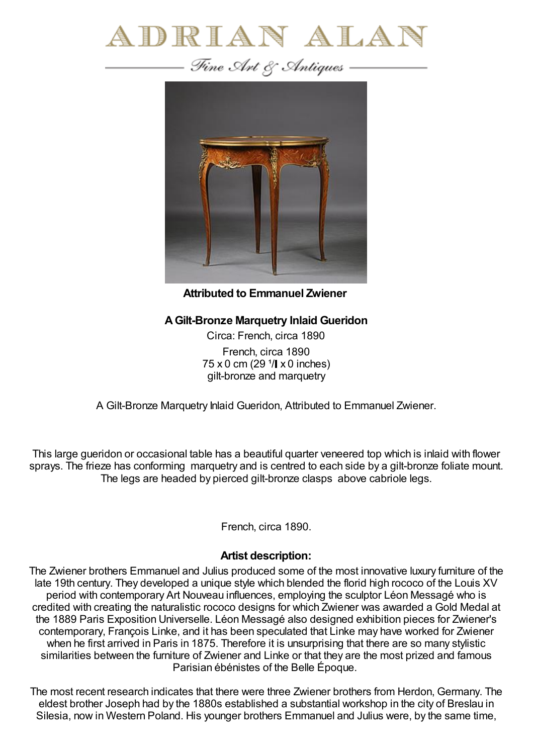



**Attributed to Emmanuel Zwiener**

## **AGilt-Bronze Marquetry Inlaid Gueridon**

Circa: French, circa 1890 French, circa 1890  $75 \times 0$  cm (29  $1/\sqrt{1 \times 0}$  inches) gilt-bronze and marquetry

A Gilt-Bronze Marquetry Inlaid Gueridon, Attributed to Emmanuel Zwiener.

This large gueridon or occasional table has a beautiful quarter veneered top which is inlaid with flower sprays. The frieze has conforming marquetry and is centred to each side by a gilt-bronze foliate mount. The legs are headed by pierced gilt-bronze clasps above cabriole legs.

French, circa 1890.

## **Artist description:**

The Zwiener brothers Emmanuel and Julius produced some of the most innovative luxury furniture of the late 19th century. They developed a unique style which blended the florid high rococo of the Louis XV period with contemporary Art Nouveau influences, employing the sculptor Léon Messagé who is credited with creating the naturalistic rococo designs for which Zwiener was awarded a Gold Medal at the 1889 Paris Exposition Universelle. Léon Messagé also designed exhibition pieces for Zwiener's contemporary, François Linke, and it has been speculated that Linke may have worked for Zwiener when he first arrived in Paris in 1875. Therefore it is unsurprising that there are so many stylistic similarities between the furniture of Zwiener and Linke or that they are the most prized and famous Parisian ébénistes of the Belle Époque.

The most recent research indicates that there were three Zwiener brothers from Herdon, Germany. The eldest brother Joseph had by the 1880s established a substantial workshop in the city of Breslau in Silesia, now in Western Poland. His younger brothers Emmanuel and Julius were, by the same time,